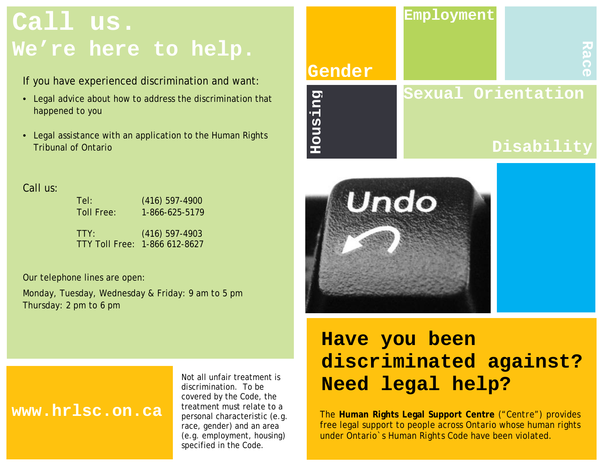# **Call us. We're here to help.**

If you have experienced discrimination and want:

- Legal advice about how to address the discrimination that happened to you
- Legal assistance with an application to the Human Rights Tribunal of Ontario





#### Call us:

| Tel:       | $(416)$ 597-4900              |
|------------|-------------------------------|
| Toll Free: | 1-866-625-5179                |
|            |                               |
| TTY:       | $(416)$ 597-4903              |
|            | TTY Toll Free: 1-866 612-8627 |
|            |                               |

Our telephone lines are open:

Monday, Tuesday, Wednesday & Friday: 9 am to 5 pm Thursday: 2 pm to 6 pm

## **www.hrlsc.on.ca**

Not all unfair treatment is discrimination. To be covered by the *Code,* the treatment must relate to a personal characteristic (e.g. race, gender) and an area (e.g. employment, housing) specified in the *Code.*

## **Have you been discriminated against? Need legal help?**

The **Human Rights Legal Support Centre** ("*Centre*") provides free legal support to people across Ontario whose human rights